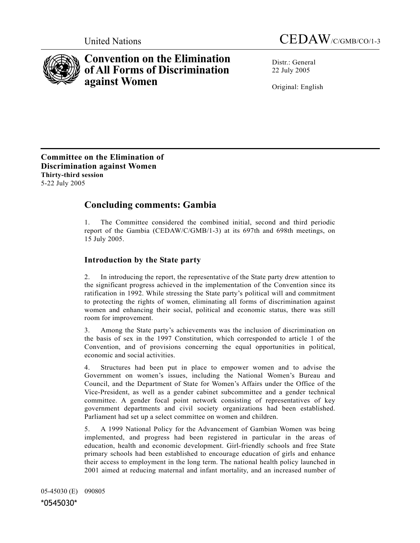



# **Convention on the Elimination of All Forms of Discrimination against Women**

Distr · General 22 July 2005

Original: English

**Committee on the Elimination of Discrimination against Women Thirty-third session** 5-22 July 2005

# **Concluding comments: Gambia**

1. The Committee considered the combined initial, second and third periodic report of the Gambia (CEDAW/C/GMB/1-3) at its 697th and 698th meetings, on 15 July 2005.

## **Introduction by the State party**

2. In introducing the report, the representative of the State party drew attention to the significant progress achieved in the implementation of the Convention since its ratification in 1992. While stressing the State party's political will and commitment to protecting the rights of women, eliminating all forms of discrimination against women and enhancing their social, political and economic status, there was still room for improvement.

3. Among the State party's achievements was the inclusion of discrimination on the basis of sex in the 1997 Constitution, which corresponded to article 1 of the Convention, and of provisions concerning the equal opportunities in political, economic and social activities.

4. Structures had been put in place to empower women and to advise the Government on women's issues, including the National Women's Bureau and Council, and the Department of State for Women's Affairs under the Office of the Vice-President, as well as a gender cabinet subcommittee and a gender technical committee. A gender focal point network consisting of representatives of key government departments and civil society organizations had been established. Parliament had set up a select committee on women and children.

5. A 1999 National Policy for the Advancement of Gambian Women was being implemented, and progress had been registered in particular in the areas of education, health and economic development. Girl-friendly schools and free State primary schools had been established to encourage education of girls and enhance their access to employment in the long term. The national health policy launched in 2001 aimed at reducing maternal and infant mortality, and an increased number of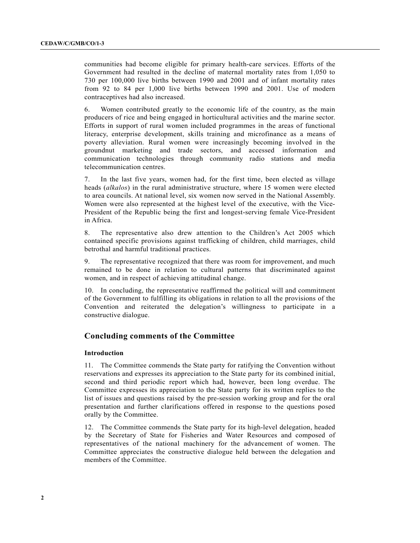communities had become eligible for primary health-care services. Efforts of the Government had resulted in the decline of maternal mortality rates from 1,050 to 730 per 100,000 live births between 1990 and 2001 and of infant mortality rates from 92 to 84 per 1,000 live births between 1990 and 2001. Use of modern contraceptives had also increased.

6. Women contributed greatly to the economic life of the country, as the main producers of rice and being engaged in horticultural activities and the marine sector. Efforts in support of rural women included programmes in the areas of functional literacy, enterprise development, skills training and microfinance as a means of poverty alleviation. Rural women were increasingly becoming involved in the groundnut marketing and trade sectors, and accessed information and communication technologies through community radio stations and media telecommunication centres.

7. In the last five years, women had, for the first time, been elected as village heads (*alkalos*) in the rural administrative structure, where 15 women were elected to area councils. At national level, six women now served in the National Assembly. Women were also represented at the highest level of the executive, with the Vice-President of the Republic being the first and longest-serving female Vice-President in Africa.

8. The representative also drew attention to the Children's Act 2005 which contained specific provisions against trafficking of children, child marriages, child betrothal and harmful traditional practices.

9. The representative recognized that there was room for improvement, and much remained to be done in relation to cultural patterns that discriminated against women, and in respect of achieving attitudinal change.

10. In concluding, the representative reaffirmed the political will and commitment of the Government to fulfilling its obligations in relation to all the provisions of the Convention and reiterated the delegation's willingness to participate in a constructive dialogue.

### **Concluding comments of the Committee**

#### **Introduction**

11. The Committee commends the State party for ratifying the Convention without reservations and expresses its appreciation to the State party for its combined initial, second and third periodic report which had, however, been long overdue. The Committee expresses its appreciation to the State party for its written replies to the list of issues and questions raised by the pre-session working group and for the oral presentation and further clarifications offered in response to the questions posed orally by the Committee.

12. The Committee commends the State party for its high-level delegation, headed by the Secretary of State for Fisheries and Water Resources and composed of representatives of the national machinery for the advancement of women. The Committee appreciates the constructive dialogue held between the delegation and members of the Committee.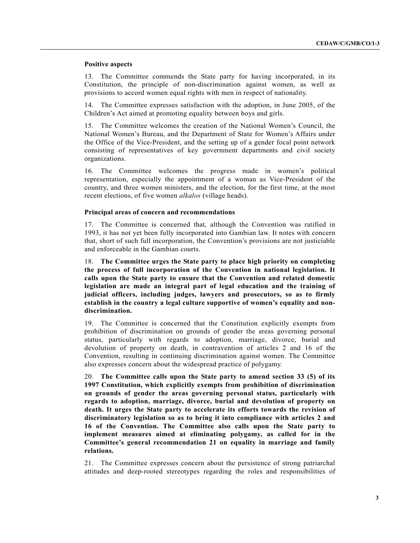#### **Positive aspects**

13. The Committee commends the State party for having incorporated, in its Constitution, the principle of non-discrimination against women, as well as provisions to accord women equal rights with men in respect of nationality.

14. The Committee expresses satisfaction with the adoption, in June 2005, of the Children's Act aimed at promoting equality between boys and girls.

15. The Committee welcomes the creation of the National Women's Council, the National Women's Bureau, and the Department of State for Women's Affairs under the Office of the Vice-President, and the setting up of a gender focal point network consisting of representatives of key government departments and civil society organizations.

16. The Committee welcomes the progress made in women's political representation, especially the appointment of a woman as Vice-President of the country, and three women ministers, and the election, for the first time, at the most recent elections, of five women *alkalos* (village heads).

#### **Principal areas of concern and recommendations**

17. The Committee is concerned that, although the Convention was ratified in 1993, it has not yet been fully incorporated into Gambian law. It notes with concern that, short of such full incorporation, the Convention's provisions are not justiciable and enforceable in the Gambian courts.

18. **The Committee urges the State party to place high priority on completing the process of full incorporation of the Convention in national legislation. It calls upon the State party to ensure that the Convention and related domestic legislation are made an integral part of legal education and the training of judicial officers, including judges, lawyers and prosecutors, so as to firmly establish in the country a legal culture supportive of women's equality and nondiscrimination.** 

19. The Committee is concerned that the Constitution explicitly exempts from prohibition of discrimination on grounds of gender the areas governing personal status, particularly with regards to adoption, marriage, divorce, burial and devolution of property on death, in contravention of articles 2 and 16 of the Convention, resulting in continuing discrimination against women. The Committee also expresses concern about the widespread practice of polygamy.

20. **The Committee calls upon the State party to amend section 33 (5) of its 1997 Constitution, which explicitly exempts from prohibition of discrimination on grounds of gender the areas governing personal status, particularly with regards to adoption, marriage, divorce, burial and devolution of property on death. It urges the State party to accelerate its efforts towards the revision of discriminatory legislation so as to bring it into compliance with articles 2 and 16 of the Convention. The Committee also calls upon the State party to implement measures aimed at eliminating polygamy, as called for in the Committee's general recommendation 21 on equality in marriage and family relations.** 

21. The Committee expresses concern about the persistence of strong patriarchal attitudes and deep-rooted stereotypes regarding the roles and responsibilities of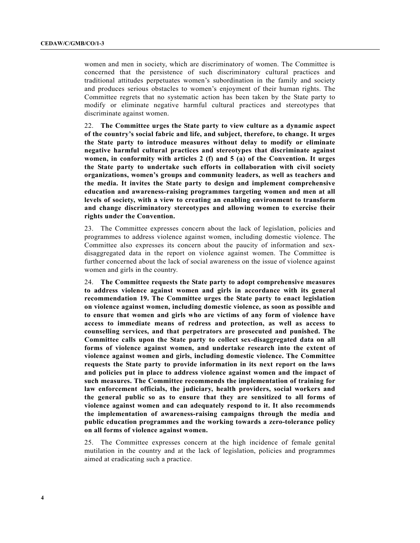women and men in society, which are discriminatory of women. The Committee is concerned that the persistence of such discriminatory cultural practices and traditional attitudes perpetuates women's subordination in the family and society and produces serious obstacles to women's enjoyment of their human rights. The Committee regrets that no systematic action has been taken by the State party to modify or eliminate negative harmful cultural practices and stereotypes that discriminate against women.

22. **The Committee urges the State party to view culture as a dynamic aspect of the country's social fabric and life, and subject, therefore, to change. It urges the State party to introduce measures without delay to modify or eliminate negative harmful cultural practices and stereotypes that discriminate against women, in conformity with articles 2 (f) and 5 (a) of the Convention. It urges the State party to undertake such efforts in collaboration with civil society organizations, women's groups and community leaders, as well as teachers and the media. It invites the State party to design and implement comprehensive education and awareness-raising programmes targeting women and men at all levels of society, with a view to creating an enabling environment to transform and change discriminatory stereotypes and allowing women to exercise their rights under the Convention.** 

23. The Committee expresses concern about the lack of legislation, policies and programmes to address violence against women, including domestic violence. The Committee also expresses its concern about the paucity of information and sexdisaggregated data in the report on violence against women. The Committee is further concerned about the lack of social awareness on the issue of violence against women and girls in the country.

24. **The Committee requests the State party to adopt comprehensive measures to address violence against women and girls in accordance with its general recommendation 19. The Committee urges the State party to enact legislation on violence against women, including domestic violence, as soon as possible and to ensure that women and girls who are victims of any form of violence have access to immediate means of redress and protection, as well as access to counselling services, and that perpetrators are prosecuted and punished. The Committee calls upon the State party to collect sex-disaggregated data on all forms of violence against women, and undertake research into the extent of violence against women and girls, including domestic violence. The Committee requests the State party to provide information in its next report on the laws and policies put in place to address violence against women and the impact of such measures. The Committee recommends the implementation of training for law enforcement officials, the judiciary, health providers, social workers and the general public so as to ensure that they are sensitized to all forms of violence against women and can adequately respond to it. It also recommends the implementation of awareness-raising campaigns through the media and public education programmes and the working towards a zero-tolerance policy on all forms of violence against women.** 

25. The Committee expresses concern at the high incidence of female genital mutilation in the country and at the lack of legislation, policies and programmes aimed at eradicating such a practice.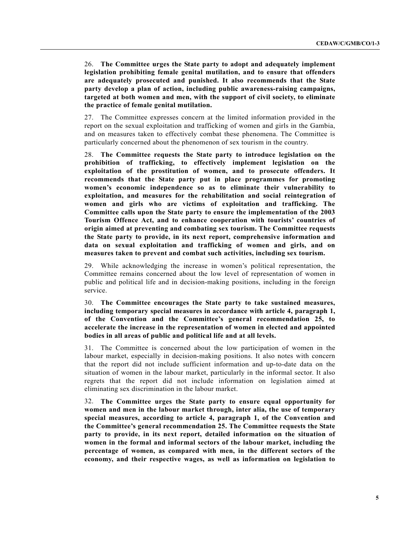26. **The Committee urges the State party to adopt and adequately implement legislation prohibiting female genital mutilation, and to ensure that offenders are adequately prosecuted and punished. It also recommends that the State party develop a plan of action, including public awareness-raising campaigns, targeted at both women and men, with the support of civil society, to eliminate the practice of female genital mutilation.** 

27. The Committee expresses concern at the limited information provided in the report on the sexual exploitation and trafficking of women and girls in the Gambia, and on measures taken to effectively combat these phenomena. The Committee is particularly concerned about the phenomenon of sex tourism in the country.

28. **The Committee requests the State party to introduce legislation on the prohibition of trafficking, to effectively implement legislation on the exploitation of the prostitution of women, and to prosecute offenders. It recommends that the State party put in place programmes for promoting women's economic independence so as to eliminate their vulnerability to exploitation, and measures for the rehabilitation and social reintegration of women and girls who are victims of exploitation and trafficking. The Committee calls upon the State party to ensure the implementation of the 2003 Tourism Offence Act, and to enhance cooperation with tourists' countries of origin aimed at preventing and combating sex tourism. The Committee requests the State party to provide, in its next report, comprehensive information and data on sexual exploitation and trafficking of women and girls, and on measures taken to prevent and combat such activities, including sex tourism.**

29. While acknowledging the increase in women's political representation, the Committee remains concerned about the low level of representation of women in public and political life and in decision-making positions, including in the foreign service.

30. **The Committee encourages the State party to take sustained measures, including temporary special measures in accordance with article 4, paragraph 1, of the Convention and the Committee's general recommendation 25, to accelerate the increase in the representation of women in elected and appointed bodies in all areas of public and political life and at all levels.** 

31. The Committee is concerned about the low participation of women in the labour market, especially in decision-making positions. It also notes with concern that the report did not include sufficient information and up-to-date data on the situation of women in the labour market, particularly in the informal sector. It also regrets that the report did not include information on legislation aimed at eliminating sex discrimination in the labour market.

32. **The Committee urges the State party to ensure equal opportunity for women and men in the labour market through, inter alia, the use of temporary special measures, according to article 4, paragraph 1, of the Convention and the Committee's general recommendation 25. The Committee requests the State party to provide, in its next report, detailed information on the situation of women in the formal and informal sectors of the labour market, including the percentage of women, as compared with men, in the different sectors of the economy, and their respective wages, as well as information on legislation to**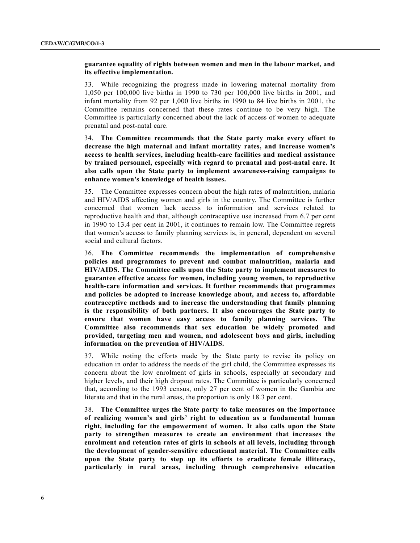#### **guarantee equality of rights between women and men in the labour market, and its effective implementation.**

33. While recognizing the progress made in lowering maternal mortality from 1,050 per 100,000 live births in 1990 to 730 per 100,000 live births in 2001, and infant mortality from 92 per 1,000 live births in 1990 to 84 live births in 2001, the Committee remains concerned that these rates continue to be very high. The Committee is particularly concerned about the lack of access of women to adequate prenatal and post-natal care.

34. **The Committee recommends that the State party make every effort to decrease the high maternal and infant mortality rates, and increase women's access to health services, including health-care facilities and medical assistance by trained personnel, especially with regard to prenatal and post-natal care. It also calls upon the State party to implement awareness-raising campaigns to enhance women's knowledge of health issues.** 

35. The Committee expresses concern about the high rates of malnutrition, malaria and HIV/AIDS affecting women and girls in the country. The Committee is further concerned that women lack access to information and services related to reproductive health and that, although contraceptive use increased from 6.7 per cent in 1990 to 13.4 per cent in 2001, it continues to remain low. The Committee regrets that women's access to family planning services is, in general, dependent on several social and cultural factors.

36. **The Committee recommends the implementation of comprehensive policies and programmes to prevent and combat malnutrition, malaria and HIV/AIDS. The Committee calls upon the State party to implement measures to guarantee effective access for women, including young women, to reproductive health-care information and services. It further recommends that programmes and policies be adopted to increase knowledge about, and access to, affordable contraceptive methods and to increase the understanding that family planning is the responsibility of both partners. It also encourages the State party to ensure that women have easy access to family planning services. The Committee also recommends that sex education be widely promoted and provided, targeting men and women, and adolescent boys and girls, including information on the prevention of HIV/AIDS.** 

37. While noting the efforts made by the State party to revise its policy on education in order to address the needs of the girl child, the Committee expresses its concern about the low enrolment of girls in schools, especially at secondary and higher levels, and their high dropout rates. The Committee is particularly concerned that, according to the 1993 census, only 27 per cent of women in the Gambia are literate and that in the rural areas, the proportion is only 18.3 per cent.

38. **The Committee urges the State party to take measures on the importance of realizing women's and girls' right to education as a fundamental human right, including for the empowerment of women. It also calls upon the State party to strengthen measures to create an environment that increases the enrolment and retention rates of girls in schools at all levels, including through the development of gender-sensitive educational material. The Committee calls upon the State party to step up its efforts to eradicate female illiteracy, particularly in rural areas, including through comprehensive education**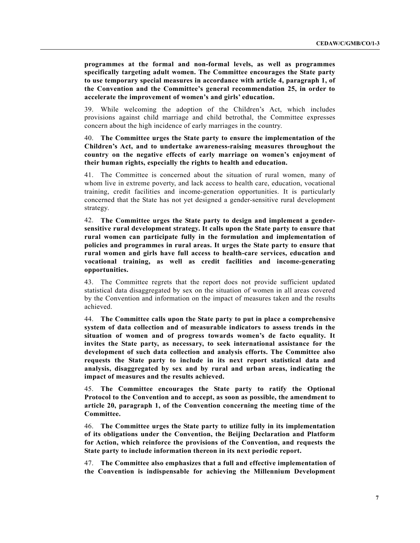**programmes at the formal and non-formal levels, as well as programmes specifically targeting adult women. The Committee encourages the State party to use temporary special measures in accordance with article 4, paragraph 1, of the Convention and the Committee's general recommendation 25, in order to accelerate the improvement of women's and girls' education.** 

39. While welcoming the adoption of the Children's Act, which includes provisions against child marriage and child betrothal, the Committee expresses concern about the high incidence of early marriages in the country.

40. **The Committee urges the State party to ensure the implementation of the Children's Act, and to undertake awareness-raising measures throughout the country on the negative effects of early marriage on women's enjoyment of their human rights, especially the rights to health and education.** 

41. The Committee is concerned about the situation of rural women, many of whom live in extreme poverty, and lack access to health care, education, vocational training, credit facilities and income-generation opportunities. It is particularly concerned that the State has not yet designed a gender-sensitive rural development strategy.

42. **The Committee urges the State party to design and implement a gendersensitive rural development strategy. It calls upon the State party to ensure that rural women can participate fully in the formulation and implementation of policies and programmes in rural areas. It urges the State party to ensure that rural women and girls have full access to health-care services, education and vocational training, as well as credit facilities and income-generating opportunities.** 

43. The Committee regrets that the report does not provide sufficient updated statistical data disaggregated by sex on the situation of women in all areas covered by the Convention and information on the impact of measures taken and the results achieved.

44. **The Committee calls upon the State party to put in place a comprehensive system of data collection and of measurable indicators to assess trends in the situation of women and of progress towards women's de facto equality. It invites the State party, as necessary, to seek international assistance for the development of such data collection and analysis efforts. The Committee also requests the State party to include in its next report statistical data and analysis, disaggregated by sex and by rural and urban areas, indicating the impact of measures and the results achieved.** 

45. **The Committee encourages the State party to ratify the Optional Protocol to the Convention and to accept, as soon as possible, the amendment to article 20, paragraph 1, of the Convention concerning the meeting time of the Committee.** 

46. **The Committee urges the State party to utilize fully in its implementation of its obligations under the Convention, the Beijing Declaration and Platform for Action, which reinforce the provisions of the Convention, and requests the State party to include information thereon in its next periodic report.** 

47. **The Committee also emphasizes that a full and effective implementation of the Convention is indispensable for achieving the Millennium Development**